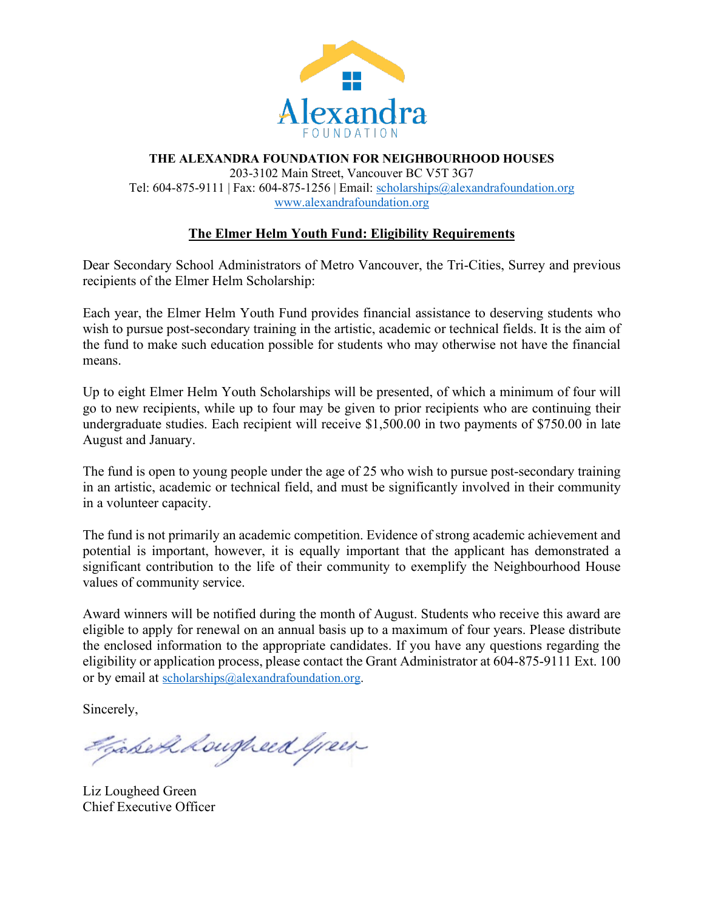

#### **THE ALEXANDRA FOUNDATION FOR NEIGHBOURHOOD HOUSES** 203-3102 Main Street, Vancouver BC V5T 3G7 Tel: 604-875-9111 | Fax: 604-875-1256 | Email: [scholarships@alexandrafoundation.org](mailto:scholarships@alexandrafoundation.org) [www.alexandrafoundation.org](http://www.alexandrafoundation.org/)

## **The Elmer Helm Youth Fund: Eligibility Requirements**

Dear Secondary School Administrators of Metro Vancouver, the Tri-Cities, Surrey and previous recipients of the Elmer Helm Scholarship:

Each year, the Elmer Helm Youth Fund provides financial assistance to deserving students who wish to pursue post-secondary training in the artistic, academic or technical fields. It is the aim of the fund to make such education possible for students who may otherwise not have the financial means.

Up to eight Elmer Helm Youth Scholarships will be presented, of which a minimum of four will go to new recipients, while up to four may be given to prior recipients who are continuing their undergraduate studies. Each recipient will receive \$1,500.00 in two payments of \$750.00 in late August and January.

The fund is open to young people under the age of 25 who wish to pursue post-secondary training in an artistic, academic or technical field, and must be significantly involved in their community in a volunteer capacity.

The fund is not primarily an academic competition. Evidence of strong academic achievement and potential is important, however, it is equally important that the applicant has demonstrated a significant contribution to the life of their community to exemplify the Neighbourhood House values of community service.

Award winners will be notified during the month of August. Students who receive this award are eligible to apply for renewal on an annual basis up to a maximum of four years. Please distribute the enclosed information to the appropriate candidates. If you have any questions regarding the eligibility or application process, please contact the Grant Administrator at 604-875-9111 Ext. 100 or by email at [scholarships@alexandrafoundation.org.](mailto:info@alexandrafoundation.org)

Sincerely,

Faber & Lougheed Green

Liz Lougheed Green Chief Executive Officer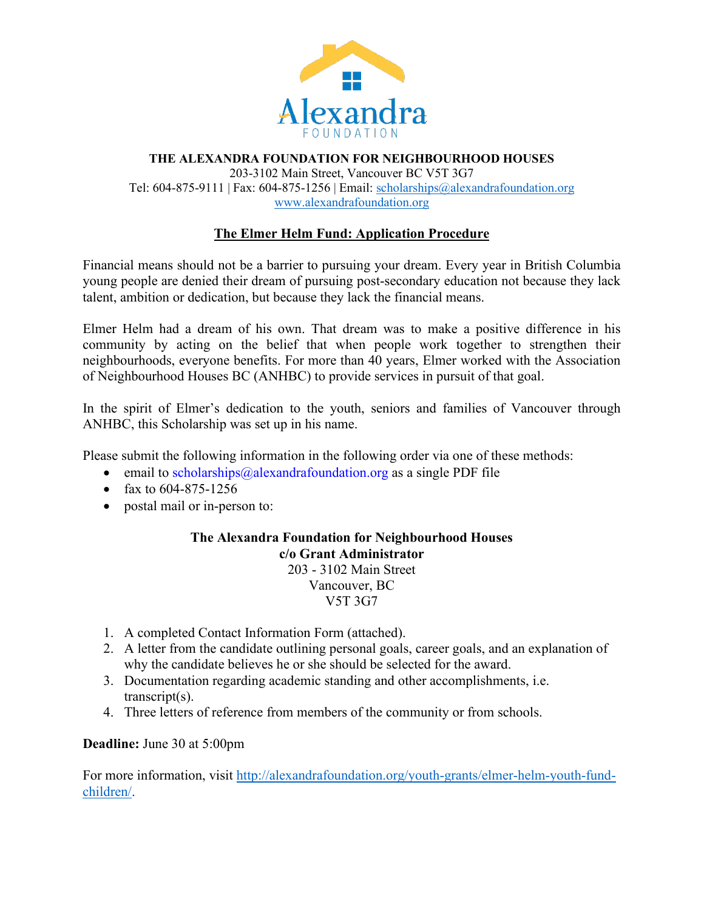

#### **THE ALEXANDRA FOUNDATION FOR NEIGHBOURHOOD HOUSES** 203-3102 Main Street, Vancouver BC V5T 3G7 Tel: 604-875-9111 | Fax: 604-875-1256 | Email: [scholarships@alexandrafoundation.org](mailto:info@alexandrafoundation.org) [www.alexandrafoundation.org](http://www.alexandrafoundation.org/)

# **The Elmer Helm Fund: Application Procedure**

Financial means should not be a barrier to pursuing your dream. Every year in British Columbia young people are denied their dream of pursuing post-secondary education not because they lack talent, ambition or dedication, but because they lack the financial means.

Elmer Helm had a dream of his own. That dream was to make a positive difference in his community by acting on the belief that when people work together to strengthen their neighbourhoods, everyone benefits. For more than 40 years, Elmer worked with the Association of Neighbourhood Houses BC (ANHBC) to provide services in pursuit of that goal.

In the spirit of Elmer's dedication to the youth, seniors and families of Vancouver through ANHBC, this Scholarship was set up in his name.

Please submit the following information in the following order via one of these methods:

- email to scholarships  $@alex$  and rafoundation.  $\text{org}$  as a single PDF file
- fax to  $604 875 1256$
- postal mail or in-person to:

### **The Alexandra Foundation for Neighbourhood Houses c/o Grant Administrator** 203 - 3102 Main Street Vancouver, BC V5T 3G7

- 1. A completed Contact Information Form (attached).
- 2. A letter from the candidate outlining personal goals, career goals, and an explanation of why the candidate believes he or she should be selected for the award.
- 3. Documentation regarding academic standing and other accomplishments, i.e. transcript(s).
- 4. Three letters of reference from members of the community or from schools.

### **Deadline:** June 30 at 5:00pm

For more information, visit [http://alexandrafoundation.org/youth-grants/elmer-helm-youth-fund](http://alexandrafoundation.org/youth-grants/elmer-helm-youth-fund-children/)[children/.](http://alexandrafoundation.org/youth-grants/elmer-helm-youth-fund-children/)